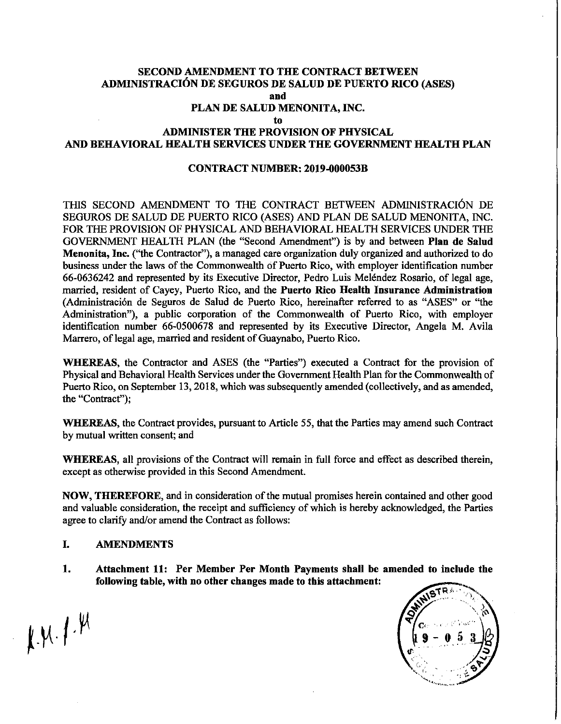#### SECOND AMENDMENT TO THE CONTRACT BETWEEN ADMiNISTRACI6N DE SEGUROS DE SALUD DE PUERTO RICO (ASES) and PLAN DE SALUD MENONITA, INC. to ADMINISTER THE PROVISION OF PHYSICAL

## AND BEHAVIORAL HEALTH SERVICES UNDER THE GOVERNMENT HEALTH PLAN

#### CONTRACT NUMBER: 2019-000053B

THIS SECOND AMENDMENT TO THE CONTRACT BETWEEN ADMINISTRACI6N DE SEGUROS DE SALUD DE PUERTO RICO (ASES) AND PLAN DE SALUD MENONITA, INC. FOR THE PROVISION OF PHYSICAL AND BEHAVIORAL HEALTH SERVICES UNDER THE GOVERNMENT HEALTH PLAN (the "Second Amendment") is by and between Plan de Salud Menonita, Inc. ("the Contractor"), a managed care organization duly organized and authorized to do business under the laws of the Commonwealth of Puerto Rico, with employer identification number 66-0636242 and represented by its Executive Director, Pedro Luis Melendez Rosario, of legal age, married, resident of Cayey, Puerto Rico, and the Puerto Rico Health Insurance Administration (Administración de Seguros de Salud de Puerto Rico, hereinafter referred to as "ASES" or "the Administration"), a public corporation of the Commonwealth of Puerto Rico, with employer identification number 66-0500678 and represented by its Executive Director, Angela M. Avila Marrero, of legal age, married and resident of Guaynabo, Puerto Rico.

WHEREAS, the Contractor and ASES (the "Parties") executed a Contract for the provision of Physical and Behavioral Health Services under the Government Health Plan for the Commonwealth of Puerto Rico, on September 13,2018, which was subsequently amended (collectively, and as amended, the "Contract");

WHEREAS, the Contract provides, pursuant to Article 55, that the Parties may amend such Contract by mutual written consent; and

WHEREAS, all provisions of the Contract will remain in full force and effect as described therein, except as otherwise provided in this Second Amendment.

NOW, THEREFORE, and in consideration of the mutual promises herein contained and other good and valuable consideration, the receipt and sufficiency of which is hereby acknowledged, the Parties agree to clarify and/or amend the Contract as follows:

#### I. AMENDMENTS

1. Attachment 11: Per Member Per Month Payments shall be amended to include the following table, with no other changes made to this attachment:



 $\mu$ M.  $f$ .  $\mu$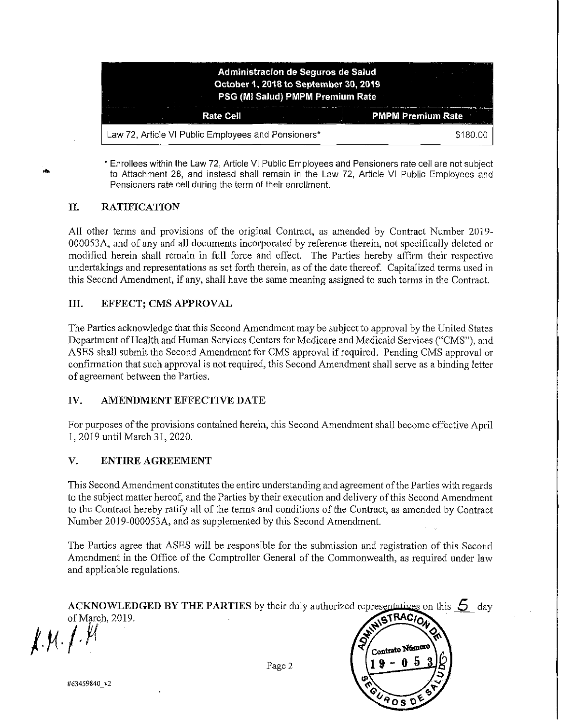| Administracion de Seguros de Salud<br>October 1, 2018 to September 30, 2019                          |                          |
|------------------------------------------------------------------------------------------------------|--------------------------|
| PSG (MI Salud) PMPM Premium Rate<br>the company of the company of the company of<br><b>Rate Cell</b> | <b>PMPM Premium Rate</b> |
| Law 72, Article VI Public Employees and Pensioners*                                                  | \$180.00                 |

• Enrollees within the Law 72, Article VI Public Employees and Pensioners rate cell are not subject to Attachment 28, and instead shall remain in the Law 72, Article VI Public Employees and Pensioners rate cell during the term of their enrollment.

### II. RATIFICATION

**.'**

All other terms and provisions of the original Contract, as amended by Contract Number 2019- 000053A, and of any and all documents incorporated by reference therein, not specifically deleted or modified herein shall remain in full force and effect. The Parties hereby affirm their respective undertakings and representations as set forth therein, as of the date thereof. Capitalized terms used in this Second Amendment, if any, shall have the same meaning assigned to such terms in the Contract.

#### III. EFFECT; CMS APPROVAL

The Parties acknowledge that this Second Amendment may be subject to approval by the United States Department of Health and Human Services Centers for Medicare and Medicaid Services ("CMS"), and ASES shall submit the Second Amendment for CMS approval ifrequired. Pending CMS approval or confirmation that such approval is not required, this Second Amendment shall serve as a binding letter of agreement between the Parties.

#### IV. AMENDMENT EFFECTIVE DATE

For purposes ofthe provisions contained herein, this Second Amendment shall become effective April 1,2019 until March 31, 2020.

#### V. ENTIRE AGREEMENT

This Second Amendment constitutes the entire understanding and agreement ofthe Parties with regards to the subject matter hereof, and the Parties by their execution and delivery ofthis Second Amendment to the Contract hereby ratify all of the terms and conditions of the Contract, as amended by Contract Number 2019-000053A, and as supplemented by this Second Amendment.

The Parties agree that ASES will be responsible for the submission and registration of this Second Amendment in the Office of the Comptroller General of the Commonwealth, as required under law and applicable regulations.

|                 | ACKNOWLEDGED BY THE PARTIES by their duly authorized representatives on this $\sum$ day |
|-----------------|-----------------------------------------------------------------------------------------|
| of March, 2019. | NISTRACION                                                                              |